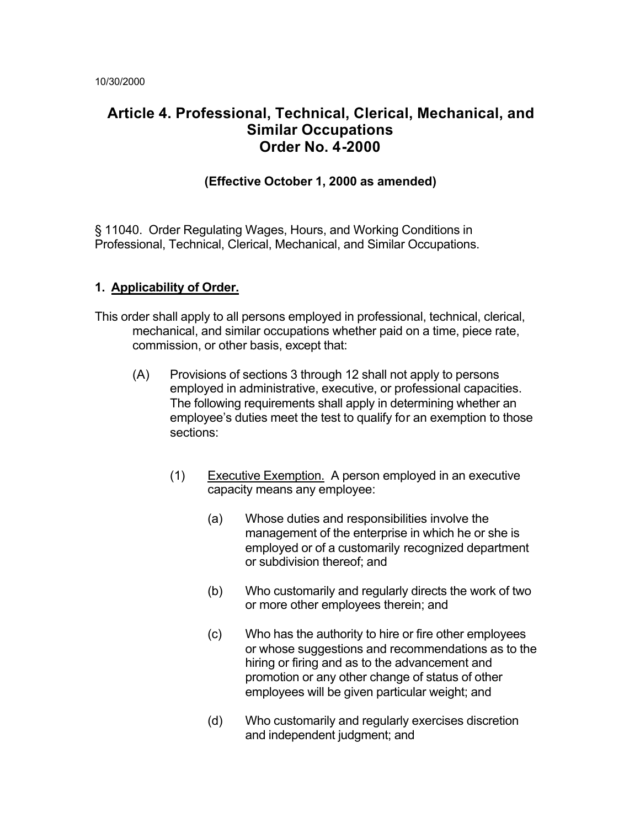# **Article 4. Professional, Technical, Clerical, Mechanical, and Similar Occupations Order No. 4-2000**

#### **(Effective October 1, 2000 as amended)**

§ 11040. Order Regulating Wages, Hours, and Working Conditions in Professional, Technical, Clerical, Mechanical, and Similar Occupations.

#### **1. Applicability of Order.**

This order shall apply to all persons employed in professional, technical, clerical, mechanical, and similar occupations whether paid on a time, piece rate, commission, or other basis, except that:

- (A) Provisions of sections 3 through 12 shall not apply to persons employed in administrative, executive, or professional capacities. The following requirements shall apply in determining whether an employee's duties meet the test to qualify for an exemption to those sections:
	- (1) Executive Exemption. A person employed in an executive capacity means any employee:
		- (a) Whose duties and responsibilities involve the management of the enterprise in which he or she is employed or of a customarily recognized department or subdivision thereof; and
		- (b) Who customarily and regularly directs the work of two or more other employees therein; and
		- (c) Who has the authority to hire or fire other employees or whose suggestions and recommendations as to the hiring or firing and as to the advancement and promotion or any other change of status of other employees will be given particular weight; and
		- (d) Who customarily and regularly exercises discretion and independent judgment; and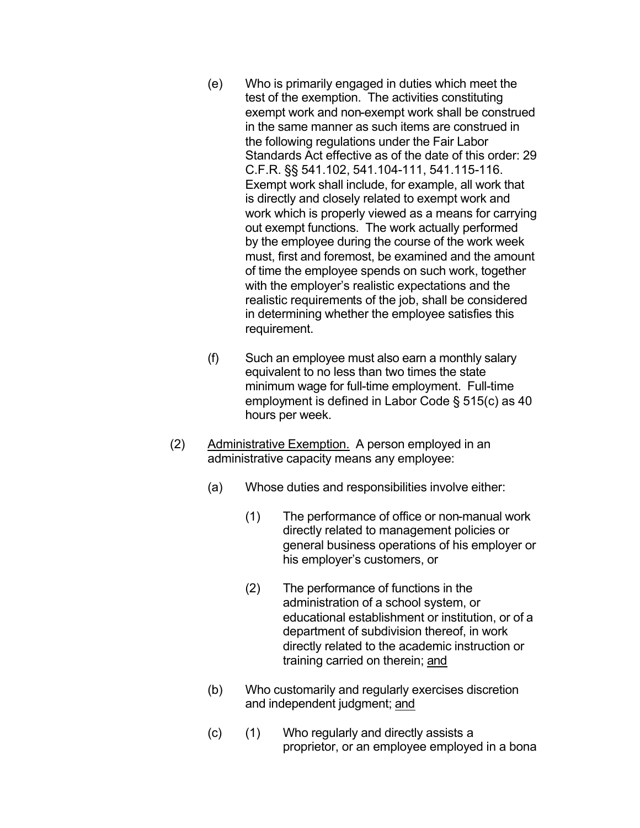- (e) Who is primarily engaged in duties which meet the test of the exemption. The activities constituting exempt work and non-exempt work shall be construed in the same manner as such items are construed in the following regulations under the Fair Labor Standards Act effective as of the date of this order: 29 C.F.R. §§ 541.102, 541.104-111, 541.115-116. Exempt work shall include, for example, all work that is directly and closely related to exempt work and work which is properly viewed as a means for carrying out exempt functions. The work actually performed by the employee during the course of the work week must, first and foremost, be examined and the amount of time the employee spends on such work, together with the employer's realistic expectations and the realistic requirements of the job, shall be considered in determining whether the employee satisfies this requirement.
- (f) Such an employee must also earn a monthly salary equivalent to no less than two times the state minimum wage for full-time employment. Full-time employment is defined in Labor Code § 515(c) as 40 hours per week.
- (2) Administrative Exemption. A person employed in an administrative capacity means any employee:
	- (a) Whose duties and responsibilities involve either:
		- (1) The performance of office or non-manual work directly related to management policies or general business operations of his employer or his employer's customers, or
		- (2) The performance of functions in the administration of a school system, or educational establishment or institution, or of a department of subdivision thereof, in work directly related to the academic instruction or training carried on therein; and
	- (b) Who customarily and regularly exercises discretion and independent judgment; and
	- (c) (1) Who regularly and directly assists a proprietor, or an employee employed in a bona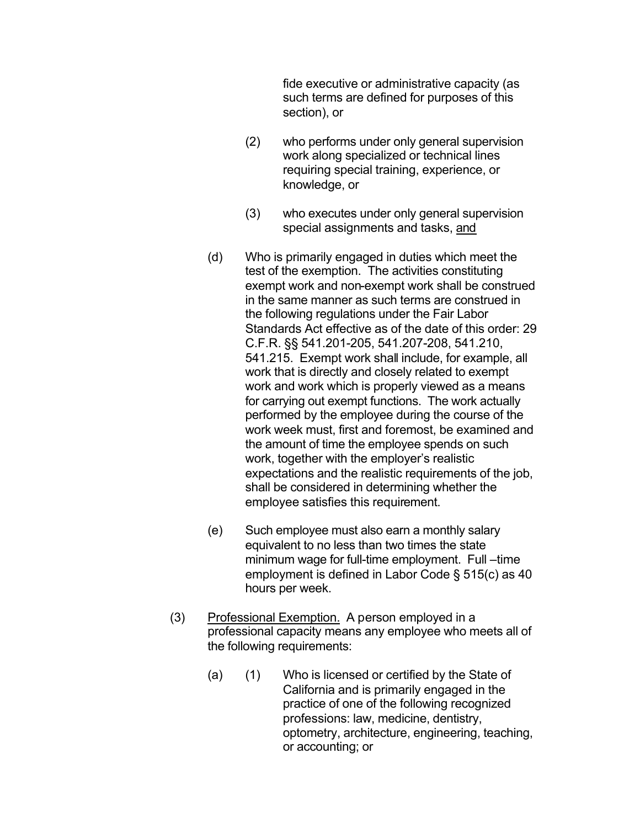fide executive or administrative capacity (as such terms are defined for purposes of this section), or

- (2) who performs under only general supervision work along specialized or technical lines requiring special training, experience, or knowledge, or
- (3) who executes under only general supervision special assignments and tasks, and
- (d) Who is primarily engaged in duties which meet the test of the exemption. The activities constituting exempt work and non-exempt work shall be construed in the same manner as such terms are construed in the following regulations under the Fair Labor Standards Act effective as of the date of this order: 29 C.F.R. §§ 541.201-205, 541.207-208, 541.210, 541.215. Exempt work shall include, for example, all work that is directly and closely related to exempt work and work which is properly viewed as a means for carrying out exempt functions. The work actually performed by the employee during the course of the work week must, first and foremost, be examined and the amount of time the employee spends on such work, together with the employer's realistic expectations and the realistic requirements of the job, shall be considered in determining whether the employee satisfies this requirement.
- (e) Such employee must also earn a monthly salary equivalent to no less than two times the state minimum wage for full-time employment. Full –time employment is defined in Labor Code § 515(c) as 40 hours per week.
- (3) Professional Exemption. A person employed in a professional capacity means any employee who meets all of the following requirements:
	- (a) (1) Who is licensed or certified by the State of California and is primarily engaged in the practice of one of the following recognized professions: law, medicine, dentistry, optometry, architecture, engineering, teaching, or accounting; or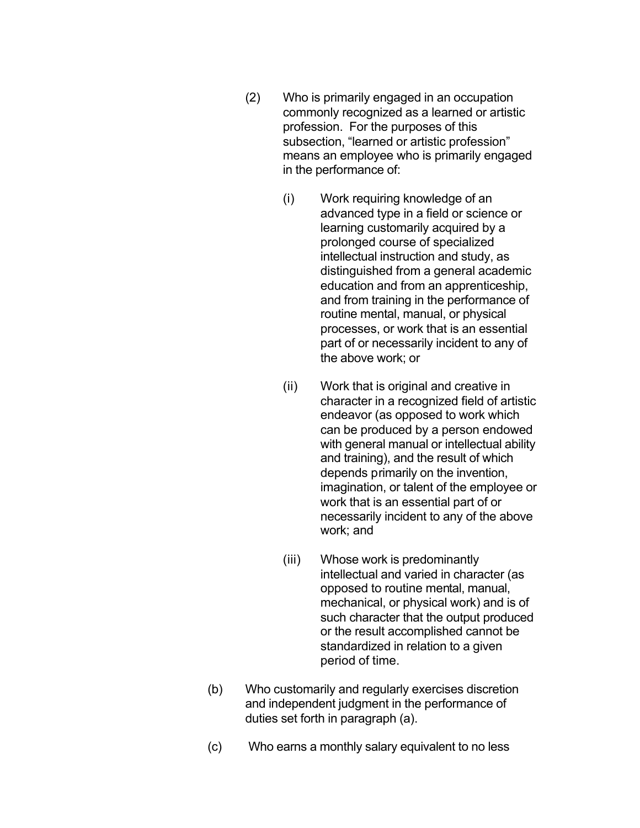- (2) Who is primarily engaged in an occupation commonly recognized as a learned or artistic profession. For the purposes of this subsection, "learned or artistic profession" means an employee who is primarily engaged in the performance of:
	- (i) Work requiring knowledge of an advanced type in a field or science or learning customarily acquired by a prolonged course of specialized intellectual instruction and study, as distinguished from a general academic education and from an apprenticeship, and from training in the performance of routine mental, manual, or physical processes, or work that is an essential part of or necessarily incident to any of the above work; or
	- (ii) Work that is original and creative in character in a recognized field of artistic endeavor (as opposed to work which can be produced by a person endowed with general manual or intellectual ability and training), and the result of which depends primarily on the invention, imagination, or talent of the employee or work that is an essential part of or necessarily incident to any of the above work; and
	- (iii) Whose work is predominantly intellectual and varied in character (as opposed to routine mental, manual, mechanical, or physical work) and is of such character that the output produced or the result accomplished cannot be standardized in relation to a given period of time.
- (b) Who customarily and regularly exercises discretion and independent judgment in the performance of duties set forth in paragraph (a).
- (c) Who earns a monthly salary equivalent to no less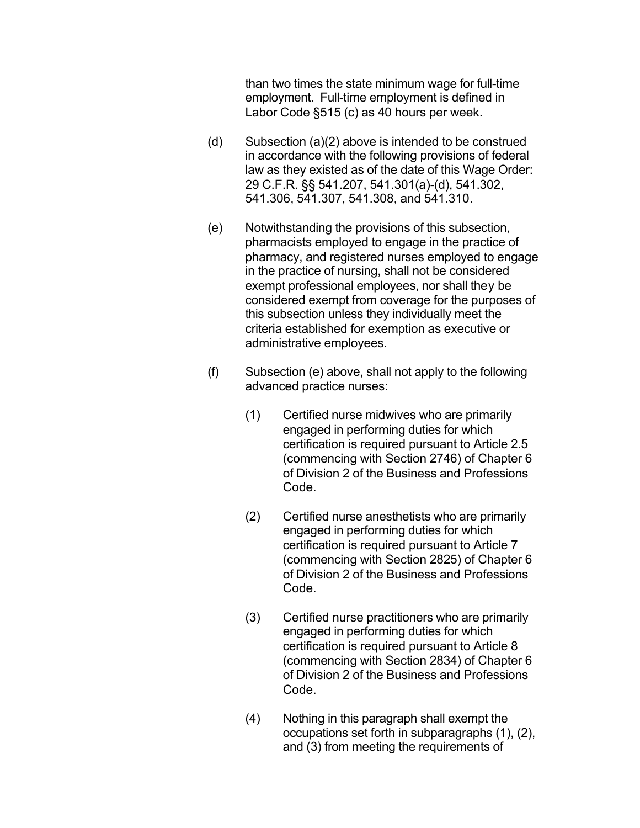than two times the state minimum wage for full-time employment. Full-time employment is defined in Labor Code §515 (c) as 40 hours per week.

- (d) Subsection  $(a)(2)$  above is intended to be construed in accordance with the following provisions of federal law as they existed as of the date of this Wage Order: 29 C.F.R. §§ 541.207, 541.301(a)-(d), 541.302, 541.306, 541.307, 541.308, and 541.310.
- (e) Notwithstanding the provisions of this subsection, pharmacists employed to engage in the practice of pharmacy, and registered nurses employed to engage in the practice of nursing, shall not be considered exempt professional employees, nor shall they be considered exempt from coverage for the purposes of this subsection unless they individually meet the criteria established for exemption as executive or administrative employees.
- $(f)$  Subsection (e) above, shall not apply to the following advanced practice nurses:
	- (1) Certified nurse midwives who are primarily engaged in performing duties for which certification is required pursuant to Article 2.5 (commencing with Section 2746) of Chapter 6 of Division 2 of the Business and Professions Code.
	- (2) Certified nurse anesthetists who are primarily engaged in performing duties for which certification is required pursuant to Article 7 (commencing with Section 2825) of Chapter 6 of Division 2 of the Business and Professions Code.
	- (3) Certified nurse practitioners who are primarily engaged in performing duties for which certification is required pursuant to Article 8 (commencing with Section 2834) of Chapter 6 of Division 2 of the Business and Professions Code.
	- (4) Nothing in this paragraph shall exempt the occupations set forth in subparagraphs (1), (2), and (3) from meeting the requirements of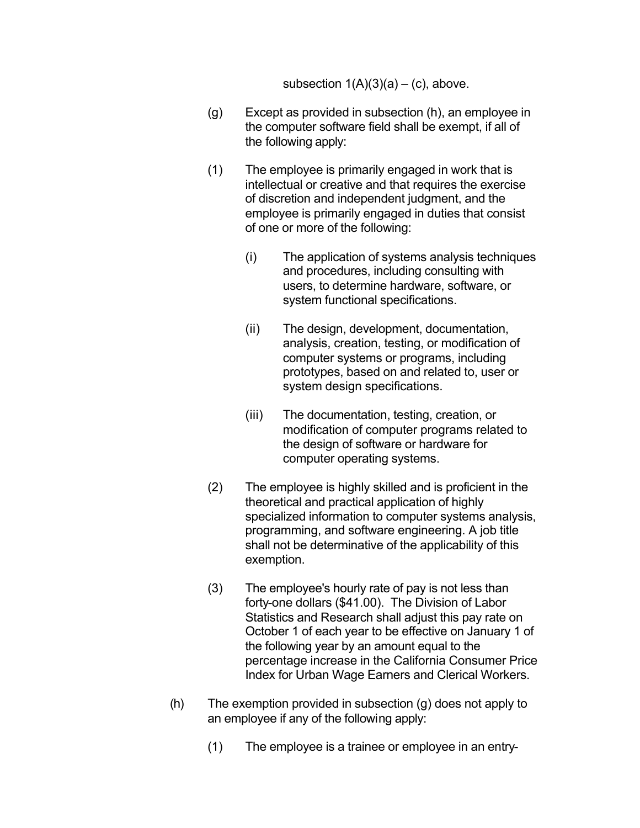subsection  $1(A)(3)(a) - (c)$ , above.

- (g) Except as provided in subsection (h), an employee in the computer software field shall be exempt, if all of the following apply:
- (1) The employee is primarily engaged in work that is intellectual or creative and that requires the exercise of discretion and independent judgment, and the employee is primarily engaged in duties that consist of one or more of the following:
	- (i) The application of systems analysis techniques and procedures, including consulting with users, to determine hardware, software, or system functional specifications.
	- (ii) The design, development, documentation, analysis, creation, testing, or modification of computer systems or programs, including prototypes, based on and related to, user or system design specifications.
	- (iii) The documentation, testing, creation, or modification of computer programs related to the design of software or hardware for computer operating systems.
- (2) The employee is highly skilled and is proficient in the theoretical and practical application of highly specialized information to computer systems analysis, programming, and software engineering. A job title shall not be determinative of the applicability of this exemption.
- (3) The employee's hourly rate of pay is not less than forty-one dollars (\$41.00). The Division of Labor Statistics and Research shall adjust this pay rate on October 1 of each year to be effective on January 1 of the following year by an amount equal to the percentage increase in the California Consumer Price Index for Urban Wage Earners and Clerical Workers.
- $(h)$  The exemption provided in subsection  $(g)$  does not apply to an employee if any of the following apply:
	- (1) The employee is a trainee or employee in an entry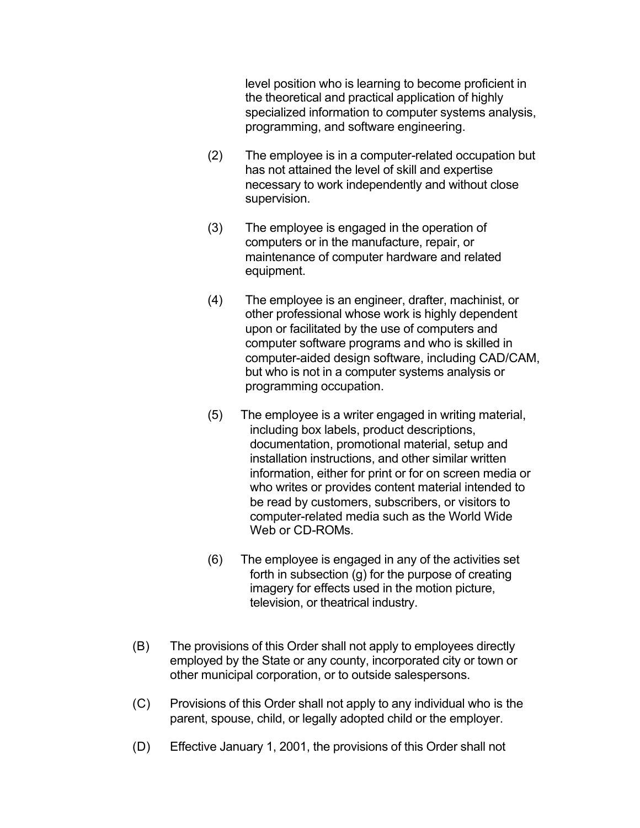level position who is learning to become proficient in the theoretical and practical application of highly specialized information to computer systems analysis, programming, and software engineering.

- (2) The employee is in a computer-related occupation but has not attained the level of skill and expertise necessary to work independently and without close supervision.
- (3) The employee is engaged in the operation of computers or in the manufacture, repair, or maintenance of computer hardware and related equipment.
- (4) The employee is an engineer, drafter, machinist, or other professional whose work is highly dependent upon or facilitated by the use of computers and computer software programs and who is skilled in computer-aided design software, including CAD/CAM, but who is not in a computer systems analysis or programming occupation.
- (5) The employee is a writer engaged in writing material, including box labels, product descriptions, documentation, promotional material, setup and installation instructions, and other similar written information, either for print or for on screen media or who writes or provides content material intended to be read by customers, subscribers, or visitors to computer-related media such as the World Wide Web or CD-ROMs.
- (6) The employee is engaged in any of the activities set forth in subsection (g) for the purpose of creating imagery for effects used in the motion picture, television, or theatrical industry.
- (B) The provisions of this Order shall not apply to employees directly employed by the State or any county, incorporated city or town or other municipal corporation, or to outside salespersons.
- (C) Provisions of this Order shall not apply to any individual who is the parent, spouse, child, or legally adopted child or the employer.
- (D) Effective January 1, 2001, the provisions of this Order shall not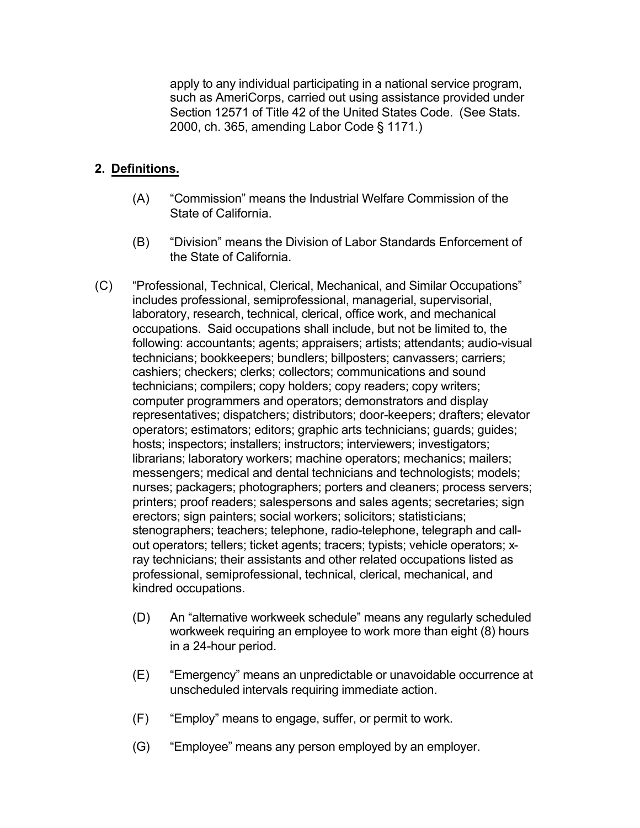apply to any individual participating in a national service program, such as AmeriCorps, carried out using assistance provided under Section 12571 of Title 42 of the United States Code. (See Stats. 2000, ch. 365, amending Labor Code § 1171.)

### **2. Definitions.**

- (A) "Commission" means the Industrial Welfare Commission of the State of California.
- (B) "Division" means the Division of Labor Standards Enforcement of the State of California.
- (C) "Professional, Technical, Clerical, Mechanical, and Similar Occupations" includes professional, semiprofessional, managerial, supervisorial, laboratory, research, technical, clerical, office work, and mechanical occupations. Said occupations shall include, but not be limited to, the following: accountants; agents; appraisers; artists; attendants; audio-visual technicians; bookkeepers; bundlers; billposters; canvassers; carriers; cashiers; checkers; clerks; collectors; communications and sound technicians; compilers; copy holders; copy readers; copy writers; computer programmers and operators; demonstrators and display representatives; dispatchers; distributors; door-keepers; drafters; elevator operators; estimators; editors; graphic arts technicians; guards; guides; hosts; inspectors; installers; instructors; interviewers; investigators; librarians; laboratory workers; machine operators; mechanics; mailers; messengers; medical and dental technicians and technologists; models; nurses; packagers; photographers; porters and cleaners; process servers; printers; proof readers; salespersons and sales agents; secretaries; sign erectors; sign painters; social workers; solicitors; statisticians; stenographers; teachers; telephone, radio-telephone, telegraph and callout operators; tellers; ticket agents; tracers; typists; vehicle operators; xray technicians; their assistants and other related occupations listed as professional, semiprofessional, technical, clerical, mechanical, and kindred occupations.
	- (D) An "alternative workweek schedule" means any regularly scheduled workweek requiring an employee to work more than eight (8) hours in a 24-hour period.
	- (E) "Emergency" means an unpredictable or unavoidable occurrence at unscheduled intervals requiring immediate action.
	- $(F)$ "Employ" means to engage, suffer, or permit to work.
	- $(G)$ "Employee" means any person employed by an employer.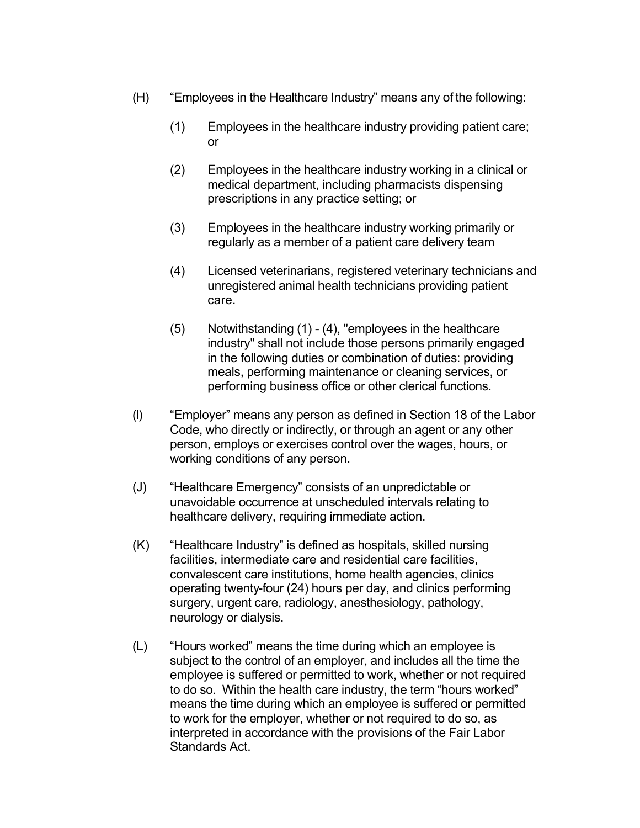- (H) "Employees in the Healthcare Industry" means any of the following:
	- $(1)$  Employees in the healthcare industry providing patient care; or
	- (2) Employees in the healthcare industry working in a clinical or medical department, including pharmacists dispensing prescriptions in any practice setting; or
	- (3) Employees in the healthcare industry working primarily or regularly as a member of a patient care delivery team
	- (4) Licensed veterinarians, registered veterinary technicians and unregistered animal health technicians providing patient care.
	- $(5)$  Notwithstanding  $(1)$   $(4)$ , "employees in the healthcare industry" shall not include those persons primarily engaged in the following duties or combination of duties: providing meals, performing maintenance or cleaning services, or performing business office or other clerical functions.
- (I) "Employer" means any person as defined in Section 18 of the Labor Code, who directly or indirectly, or through an agent or any other person, employs or exercises control over the wages, hours, or working conditions of any person.
- (J) "Healthcare Emergency" consists of an unpredictable or unavoidable occurrence at unscheduled intervals relating to healthcare delivery, requiring immediate action.
- (K) "Healthcare Industry" is defined as hospitals, skilled nursing facilities, intermediate care and residential care facilities, convalescent care institutions, home health agencies, clinics operating twenty-four (24) hours per day, and clinics performing surgery, urgent care, radiology, anesthesiology, pathology, neurology or dialysis.
- (L) "Hours worked" means the time during which an employee is subject to the control of an employer, and includes all the time the employee is suffered or permitted to work, whether or not required to do so. Within the health care industry, the term "hours worked" means the time during which an employee is suffered or permitted to work for the employer, whether or not required to do so, as interpreted in accordance with the provisions of the Fair Labor Standards Act.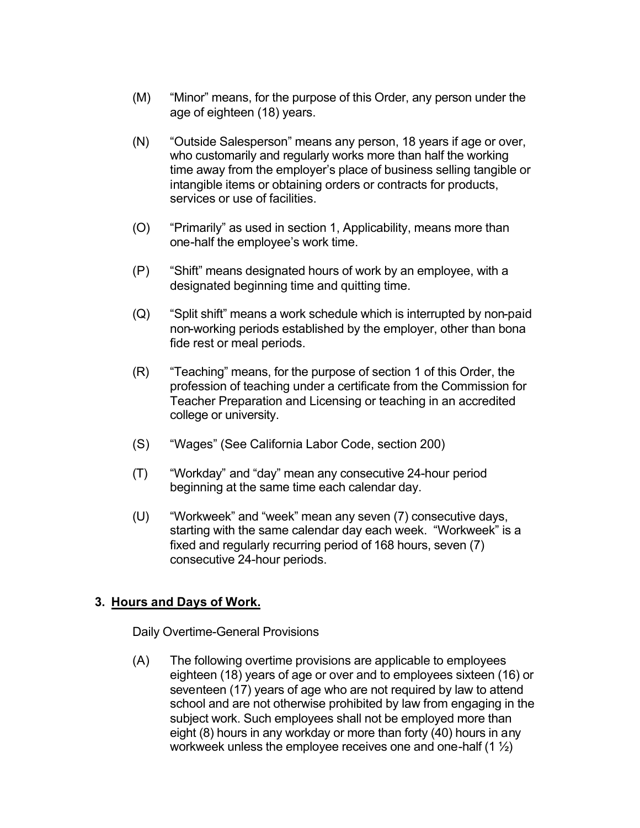- (M) "Minor" means, for the purpose of this Order, any person under the age of eighteen (18) years.
- (N) "Outside Salesperson" means any person, 18 years if age or over, who customarily and regularly works more than half the working time away from the employer's place of business selling tangible or intangible items or obtaining orders or contracts for products, services or use of facilities.
- (O) "Primarily" as used in section 1, Applicability, means more than one-half the employee's work time.
- (P) "Shift" means designated hours of work by an employee, with a designated beginning time and quitting time.
- (Q) "Split shift" means a work schedule which is interrupted by non-paid non-working periods established by the employer, other than bona fide rest or meal periods.
- (R) "Teaching" means, for the purpose of section 1 of this Order, the profession of teaching under a certificate from the Commission for Teacher Preparation and Licensing or teaching in an accredited college or university.
- $(S)$ "Wages" (See California Labor Code, section 200)
- (T) "Workday" and "day" mean any consecutive 24-hour period beginning at the same time each calendar day.
- (U) "Workweek" and "week" mean any seven (7) consecutive days, starting with the same calendar day each week. "Workweek" is a fixed and regularly recurring period of 168 hours, seven (7) consecutive 24-hour periods.

### **3. Hours and Days of Work.**

Daily Overtime-General Provisions

(A) The following overtime provisions are applicable to employees eighteen (18) years of age or over and to employees sixteen (16) or seventeen (17) years of age who are not required by law to attend school and are not otherwise prohibited by law from engaging in the subject work. Such employees shall not be employed more than eight (8) hours in any workday or more than forty (40) hours in any workweek unless the employee receives one and one-half  $(1 \frac{1}{2})$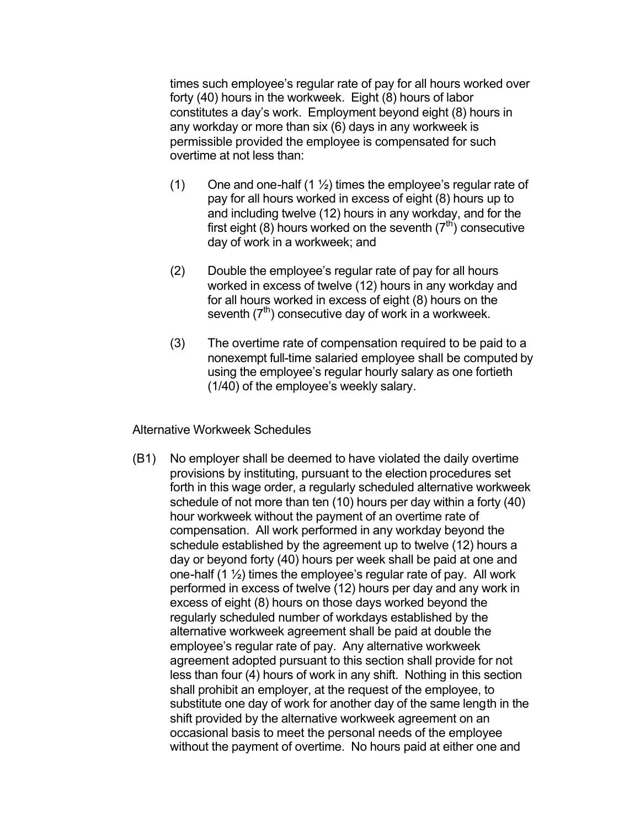times such employee's regular rate of pay for all hours worked over forty (40) hours in the workweek. Eight (8) hours of labor constitutes a day's work. Employment beyond eight (8) hours in any workday or more than six (6) days in any workweek is permissible provided the employee is compensated for such overtime at not less than:

- (1) One and one-half  $(1 \frac{1}{2})$  times the employee's regular rate of pay for all hours worked in excess of eight (8) hours up to and including twelve (12) hours in any workday, and for the first eight (8) hours worked on the seventh  $(7<sup>th</sup>)$  consecutive day of work in a workweek; and
- (2) Double the employee's regular rate of pay for all hours worked in excess of twelve (12) hours in any workday and for all hours worked in excess of eight (8) hours on the seventh  $(7<sup>th</sup>)$  consecutive day of work in a workweek.
- (3) The overtime rate of compensation required to be paid to a nonexempt full-time salaried employee shall be computed by using the employee's regular hourly salary as one fortieth (1/40) of the employee's weekly salary.

#### Alternative Workweek Schedules

(B1) No employer shall be deemed to have violated the daily overtime provisions by instituting, pursuant to the election procedures set forth in this wage order, a regularly scheduled alternative workweek schedule of not more than ten (10) hours per day within a forty (40) hour workweek without the payment of an overtime rate of compensation. All work performed in any workday beyond the schedule established by the agreement up to twelve (12) hours a day or beyond forty (40) hours per week shall be paid at one and one-half  $(1 \frac{1}{2})$  times the employee's regular rate of pay. All work performed in excess of twelve (12) hours per day and any work in excess of eight (8) hours on those days worked beyond the regularly scheduled number of workdays established by the alternative workweek agreement shall be paid at double the employee's regular rate of pay. Any alternative workweek agreement adopted pursuant to this section shall provide for not less than four (4) hours of work in any shift. Nothing in this section shall prohibit an employer, at the request of the employee, to substitute one day of work for another day of the same length in the shift provided by the alternative workweek agreement on an occasional basis to meet the personal needs of the employee without the payment of overtime. No hours paid at either one and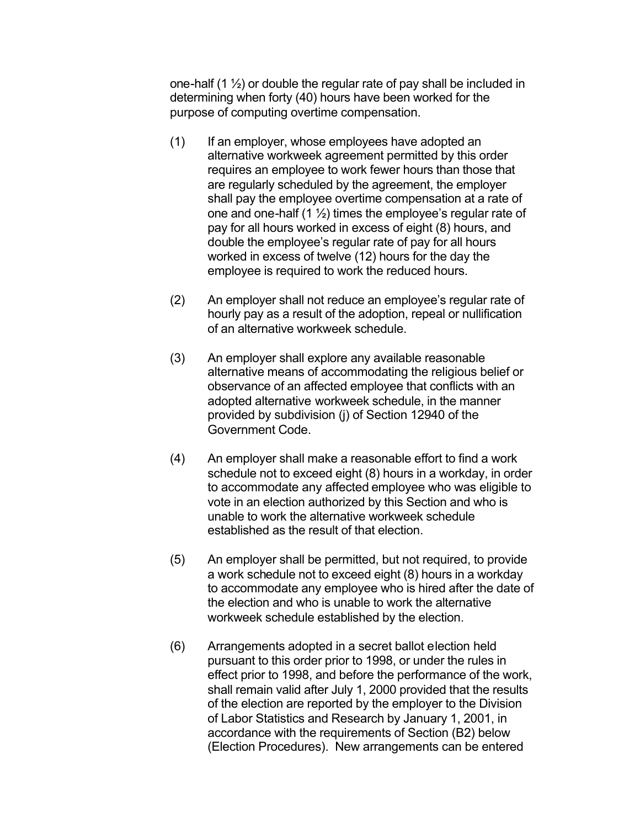one-half  $(1 \frac{1}{2})$  or double the regular rate of pay shall be included in determining when forty (40) hours have been worked for the purpose of computing overtime compensation.

- (1) If an employer, whose employees have adopted an alternative workweek agreement permitted by this order requires an employee to work fewer hours than those that are regularly scheduled by the agreement, the employer shall pay the employee overtime compensation at a rate of one and one-half  $(1 \frac{1}{2})$  times the employee's regular rate of pay for all hours worked in excess of eight (8) hours, and double the employee's regular rate of pay for all hours worked in excess of twelve (12) hours for the day the employee is required to work the reduced hours.
- (2) An employer shall not reduce an employee's regular rate of hourly pay as a result of the adoption, repeal or nullification of an alternative workweek schedule.
- (3) An employer shall explore any available reasonable alternative means of accommodating the religious belief or observance of an affected employee that conflicts with an adopted alternative workweek schedule, in the manner provided by subdivision (j) of Section 12940 of the Government Code.
- (4) An employer shall make a reasonable effort to find a work schedule not to exceed eight (8) hours in a workday, in order to accommodate any affected employee who was eligible to vote in an election authorized by this Section and who is unable to work the alternative workweek schedule established as the result of that election.
- (5) An employer shall be permitted, but not required, to provide a work schedule not to exceed eight (8) hours in a workday to accommodate any employee who is hired after the date of the election and who is unable to work the alternative workweek schedule established by the election.
- (6) Arrangements adopted in a secret ballot election held pursuant to this order prior to 1998, or under the rules in effect prior to 1998, and before the performance of the work, shall remain valid after July 1, 2000 provided that the results of the election are reported by the employer to the Division of Labor Statistics and Research by January 1, 2001, in accordance with the requirements of Section (B2) below (Election Procedures). New arrangements can be entered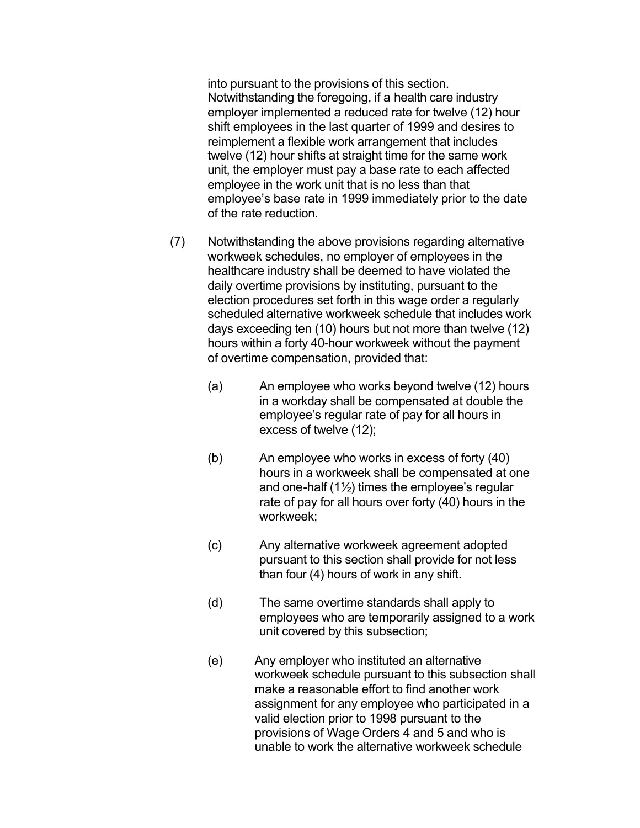into pursuant to the provisions of this section. Notwithstanding the foregoing, if a health care industry employer implemented a reduced rate for twelve (12) hour shift employees in the last quarter of 1999 and desires to reimplement a flexible work arrangement that includes twelve (12) hour shifts at straight time for the same work unit, the employer must pay a base rate to each affected employee in the work unit that is no less than that employee's base rate in 1999 immediately prior to the date of the rate reduction.

- (7) Notwithstanding the above provisions regarding alternative workweek schedules, no employer of employees in the healthcare industry shall be deemed to have violated the daily overtime provisions by instituting, pursuant to the election procedures set forth in this wage order a regularly scheduled alternative workweek schedule that includes work days exceeding ten (10) hours but not more than twelve (12) hours within a forty 40-hour workweek without the payment of overtime compensation, provided that:
	- (a) An employee who works beyond twelve (12) hours in a workday shall be compensated at double the employee's regular rate of pay for all hours in excess of twelve (12);
	- (b) An employee who works in excess of forty (40) hours in a workweek shall be compensated at one and one-half  $(1\frac{1}{2})$  times the employee's regular rate of pay for all hours over forty (40) hours in the workweek;
	- (c) Any alternative workweek agreement adopted pursuant to this section shall provide for not less than four (4) hours of work in any shift.
	- (d) The same overtime standards shall apply to employees who are temporarily assigned to a work unit covered by this subsection;
	- (e) Any employer who instituted an alternative workweek schedule pursuant to this subsection shall make a reasonable effort to find another work assignment for any employee who participated in a valid election prior to 1998 pursuant to the provisions of Wage Orders 4 and 5 and who is unable to work the alternative workweek schedule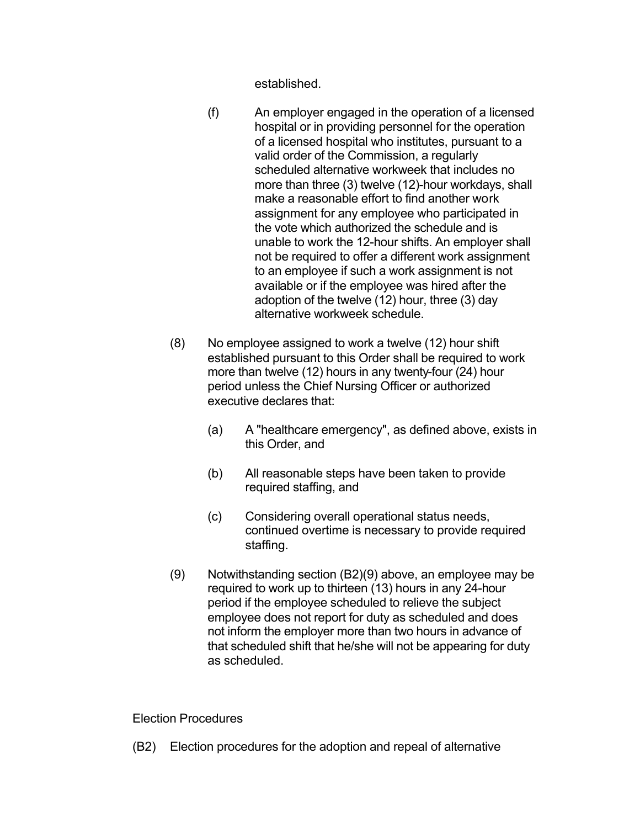established.

- (f) An employer engaged in the operation of a licensed hospital or in providing personnel for the operation of a licensed hospital who institutes, pursuant to a valid order of the Commission, a regularly scheduled alternative workweek that includes no more than three (3) twelve (12)-hour workdays, shall make a reasonable effort to find another work assignment for any employee who participated in the vote which authorized the schedule and is unable to work the 12-hour shifts. An employer shall not be required to offer a different work assignment to an employee if such a work assignment is not available or if the employee was hired after the adoption of the twelve (12) hour, three (3) day alternative workweek schedule.
- $(8)$  No employee assigned to work a twelve  $(12)$  hour shift established pursuant to this Order shall be required to work more than twelve (12) hours in any twenty-four (24) hour period unless the Chief Nursing Officer or authorized executive declares that:
	- (a) A "healthcare emergency", as defined above, exists in this Order, and
	- (b) All reasonable steps have been taken to provide required staffing, and
	- (c) Considering overall operational status needs, continued overtime is necessary to provide required staffing.
- $(9)$  Notwithstanding section  $(B2)(9)$  above, an employee may be required to work up to thirteen (13) hours in any 24-hour period if the employee scheduled to relieve the subject employee does not report for duty as scheduled and does not inform the employer more than two hours in advance of that scheduled shift that he/she will not be appearing for duty as scheduled.

#### Election Procedures

(B2) Election procedures for the adoption and repeal of alternative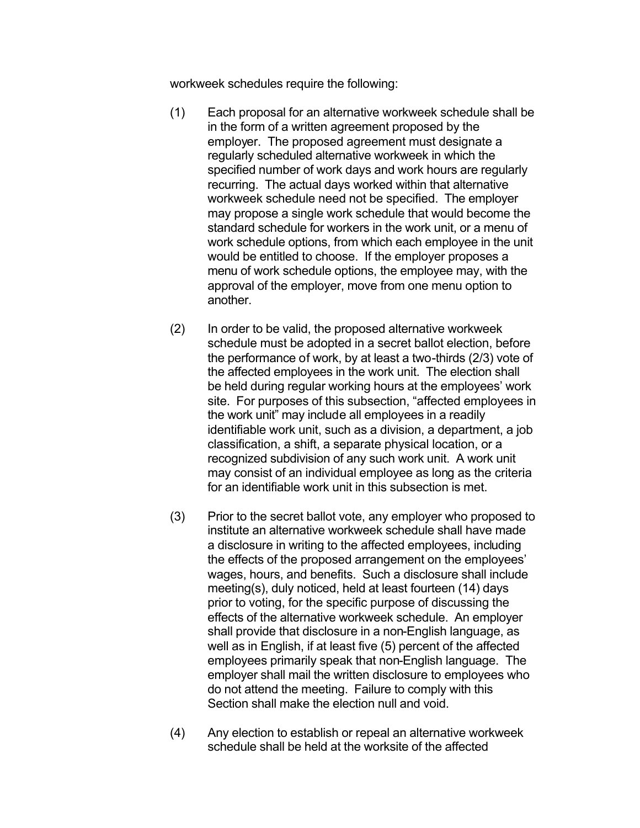workweek schedules require the following:

- (1) Each proposal for an alternative workweek schedule shall be in the form of a written agreement proposed by the employer. The proposed agreement must designate a regularly scheduled alternative workweek in which the specified number of work days and work hours are regularly recurring. The actual days worked within that alternative workweek schedule need not be specified. The employer may propose a single work schedule that would become the standard schedule for workers in the work unit, or a menu of work schedule options, from which each employee in the unit would be entitled to choose. If the employer proposes a menu of work schedule options, the employee may, with the approval of the employer, move from one menu option to another.
- (2) In order to be valid, the proposed alternative workweek schedule must be adopted in a secret ballot election, before the performance of work, by at least a two-thirds (2/3) vote of the affected employees in the work unit. The election shall be held during regular working hours at the employees' work site. For purposes of this subsection, "affected employees in the work unit" may include all employees in a readily identifiable work unit, such as a division, a department, a job classification, a shift, a separate physical location, or a recognized subdivision of any such work unit. A work unit may consist of an individual employee as long as the criteria for an identifiable work unit in this subsection is met.
- (3) Prior to the secret ballot vote, any employer who proposed to institute an alternative workweek schedule shall have made a disclosure in writing to the affected employees, including the effects of the proposed arrangement on the employees' wages, hours, and benefits. Such a disclosure shall include meeting(s), duly noticed, held at least fourteen (14) days prior to voting, for the specific purpose of discussing the effects of the alternative workweek schedule. An employer shall provide that disclosure in a non-English language, as well as in English, if at least five (5) percent of the affected employees primarily speak that non-English language. The employer shall mail the written disclosure to employees who do not attend the meeting. Failure to comply with this Section shall make the election null and void.
- (4) Any election to establish or repeal an alternative workweek schedule shall be held at the worksite of the affected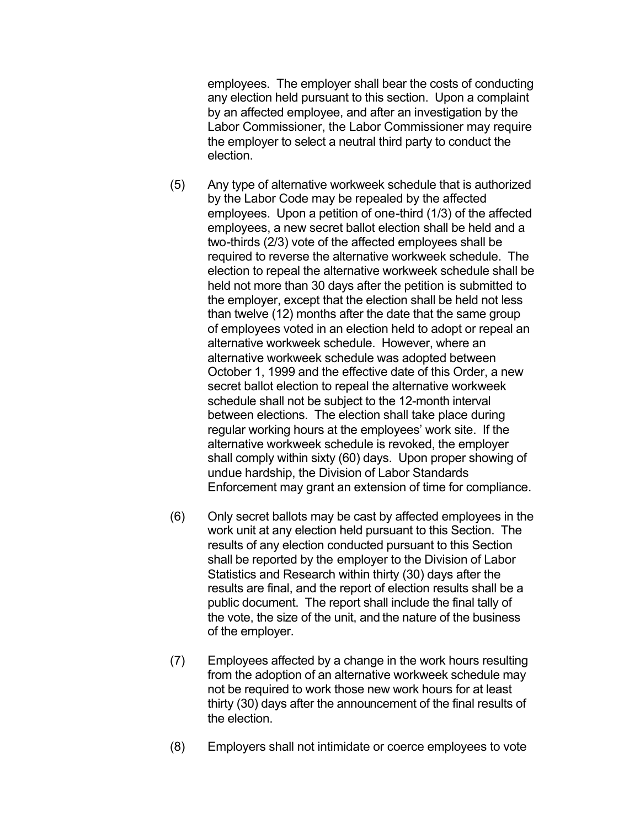employees. The employer shall bear the costs of conducting any election held pursuant to this section. Upon a complaint by an affected employee, and after an investigation by the Labor Commissioner, the Labor Commissioner may require the employer to select a neutral third party to conduct the election.

- (5) Any type of alternative workweek schedule that is authorized by the Labor Code may be repealed by the affected employees. Upon a petition of one-third (1/3) of the affected employees, a new secret ballot election shall be held and a two-thirds (2/3) vote of the affected employees shall be required to reverse the alternative workweek schedule. The election to repeal the alternative workweek schedule shall be held not more than 30 days after the petition is submitted to the employer, except that the election shall be held not less than twelve (12) months after the date that the same group of employees voted in an election held to adopt or repeal an alternative workweek schedule. However, where an alternative workweek schedule was adopted between October 1, 1999 and the effective date of this Order, a new secret ballot election to repeal the alternative workweek schedule shall not be subject to the 12-month interval between elections. The election shall take place during regular working hours at the employees' work site. If the alternative workweek schedule is revoked, the employer shall comply within sixty (60) days. Upon proper showing of undue hardship, the Division of Labor Standards Enforcement may grant an extension of time for compliance.
- (6) Only secret ballots may be cast by affected employees in the work unit at any election held pursuant to this Section. The results of any election conducted pursuant to this Section shall be reported by the employer to the Division of Labor Statistics and Research within thirty (30) days after the results are final, and the report of election results shall be a public document. The report shall include the final tally of the vote, the size of the unit, and the nature of the business of the employer.
- (7) Employees affected by a change in the work hours resulting from the adoption of an alternative workweek schedule may not be required to work those new work hours for at least thirty (30) days after the announcement of the final results of the election.
- (8) Employers shall not intimidate or coerce employees to vote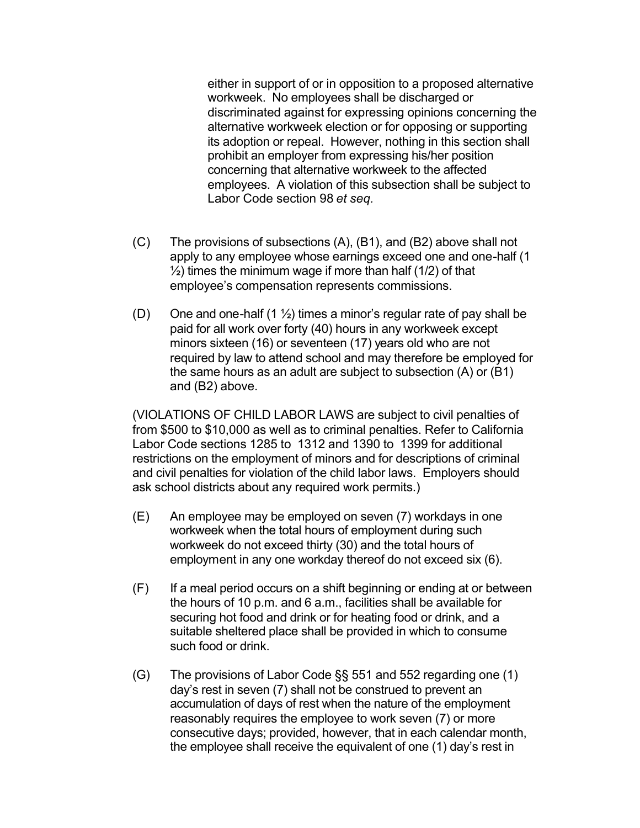Labor Code section 98 *et seq.*  either in support of or in opposition to a proposed alternative workweek. No employees shall be discharged or discriminated against for expressing opinions concerning the alternative workweek election or for opposing or supporting its adoption or repeal. However, nothing in this section shall prohibit an employer from expressing his/her position concerning that alternative workweek to the affected employees. A violation of this subsection shall be subject to

- $(C)$  The provisions of subsections  $(A)$ ,  $(B1)$ , and  $(B2)$  above shall not apply to any employee whose earnings exceed one and one-half (1  $\frac{1}{2}$ ) times the minimum wage if more than half (1/2) of that employee's compensation represents commissions.
- (D) One and one-half  $(1 \frac{1}{2})$  times a minor's regular rate of pay shall be paid for all work over forty (40) hours in any workweek except minors sixteen (16) or seventeen (17) years old who are not required by law to attend school and may therefore be employed for the same hours as an adult are subject to subsection (A) or (B1) and (B2) above.

(VIOLATIONS OF CHILD LABOR LAWS are subject to civil penalties of from \$500 to \$10,000 as well as to criminal penalties. Refer to California Labor Code sections 1285 to 1312 and 1390 to 1399 for additional restrictions on the employment of minors and for descriptions of criminal and civil penalties for violation of the child labor laws. Employers should ask school districts about any required work permits.)

- (E) An employee may be employed on seven (7) workdays in one workweek when the total hours of employment during such workweek do not exceed thirty (30) and the total hours of employment in any one workday thereof do not exceed six (6).
- $(F)$  If a meal period occurs on a shift beginning or ending at or between the hours of 10 p.m. and 6 a.m., facilities shall be available for securing hot food and drink or for heating food or drink, and a suitable sheltered place shall be provided in which to consume such food or drink.
- (G) The provisions of Labor Code  $\S$ § 551 and 552 regarding one (1) day's rest in seven (7) shall not be construed to prevent an accumulation of days of rest when the nature of the employment reasonably requires the employee to work seven (7) or more consecutive days; provided, however, that in each calendar month, the employee shall receive the equivalent of one (1) day's rest in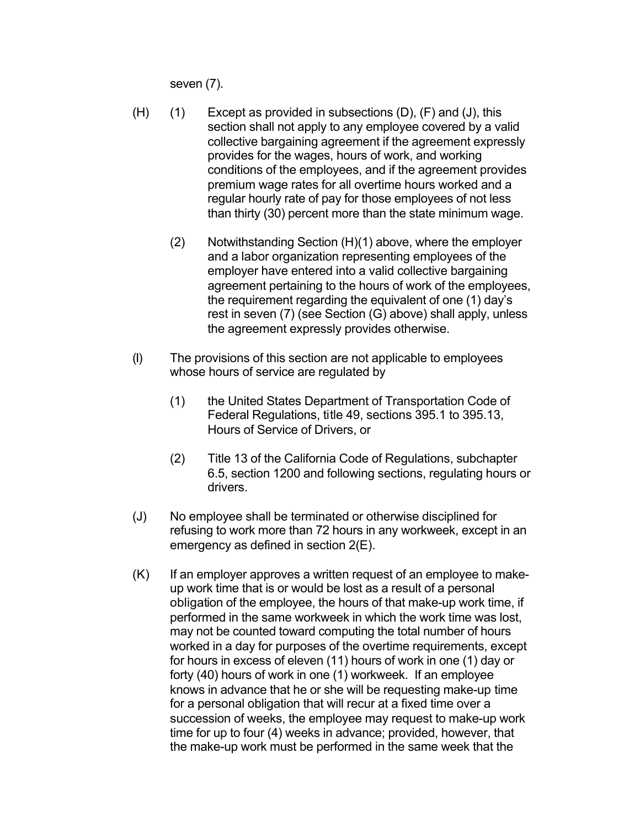seven (7).

- $(H)$  (1) Except as provided in subsections  $(D)$ ,  $(F)$  and  $(J)$ , this section shall not apply to any employee covered by a valid collective bargaining agreement if the agreement expressly provides for the wages, hours of work, and working conditions of the employees, and if the agreement provides premium wage rates for all overtime hours worked and a regular hourly rate of pay for those employees of not less than thirty (30) percent more than the state minimum wage.
	- $(2)$  Notwithstanding Section  $(H)(1)$  above, where the employer and a labor organization representing employees of the employer have entered into a valid collective bargaining agreement pertaining to the hours of work of the employees, the requirement regarding the equivalent of one (1) day's rest in seven (7) (see Section (G) above) shall apply, unless the agreement expressly provides otherwise.
- (I) The provisions of this section are not applicable to employees whose hours of service are regulated by
	- (1) the United States Department of Transportation Code of Federal Regulations, title 49, sections 395.1 to 395.13, Hours of Service of Drivers, or
	- (2) Title 13 of the California Code of Regulations, subchapter 6.5, section 1200 and following sections, regulating hours or drivers.
- (J) No employee shall be terminated or otherwise disciplined for refusing to work more than 72 hours in any workweek, except in an emergency as defined in section 2(E).
- $(K)$  If an employer approves a written request of an employee to makeup work time that is or would be lost as a result of a personal obligation of the employee, the hours of that make-up work time, if performed in the same workweek in which the work time was lost, may not be counted toward computing the total number of hours worked in a day for purposes of the overtime requirements, except for hours in excess of eleven (11) hours of work in one (1) day or forty (40) hours of work in one (1) workweek. If an employee knows in advance that he or she will be requesting make-up time for a personal obligation that will recur at a fixed time over a succession of weeks, the employee may request to make-up work time for up to four (4) weeks in advance; provided, however, that the make-up work must be performed in the same week that the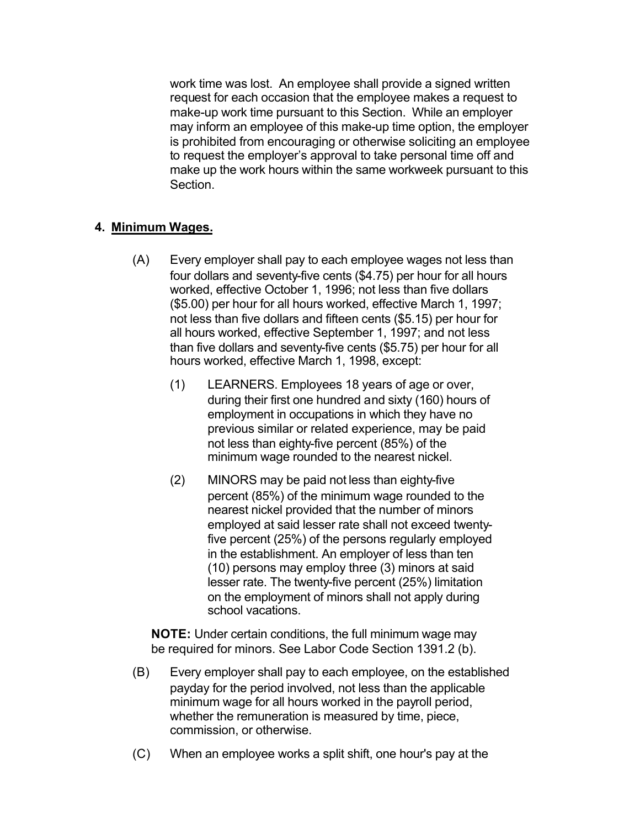work time was lost. An employee shall provide a signed written request for each occasion that the employee makes a request to make-up work time pursuant to this Section. While an employer may inform an employee of this make-up time option, the employer is prohibited from encouraging or otherwise soliciting an employee to request the employer's approval to take personal time off and make up the work hours within the same workweek pursuant to this Section.

### **4. Minimum Wages.**

- (A) Every employer shall pay to each employee wages not less than four dollars and seventy-five cents (\$4.75) per hour for all hours worked, effective October 1, 1996; not less than five dollars (\$5.00) per hour for all hours worked, effective March 1, 1997; not less than five dollars and fifteen cents (\$5.15) per hour for all hours worked, effective September 1, 1997; and not less than five dollars and seventy-five cents (\$5.75) per hour for all hours worked, effective March 1, 1998, except:
	- (1) LEARNERS. Employees 18 years of age or over, during their first one hundred and sixty (160) hours of employment in occupations in which they have no previous similar or related experience, may be paid not less than eighty-five percent (85%) of the minimum wage rounded to the nearest nickel.
	- (2) MINORS may be paid not less than eighty-five percent (85%) of the minimum wage rounded to the nearest nickel provided that the number of minors employed at said lesser rate shall not exceed twentyfive percent (25%) of the persons regularly employed in the establishment. An employer of less than ten (10) persons may employ three (3) minors at said lesser rate. The twenty-five percent (25%) limitation on the employment of minors shall not apply during school vacations.

**NOTE:** Under certain conditions, the full minimum wage may be required for minors. See Labor Code Section 1391.2 (b).

- (B) Every employer shall pay to each employee, on the established payday for the period involved, not less than the applicable minimum wage for all hours worked in the payroll period, whether the remuneration is measured by time, piece, commission, or otherwise.
- (C) When an employee works a split shift, one hour's pay at the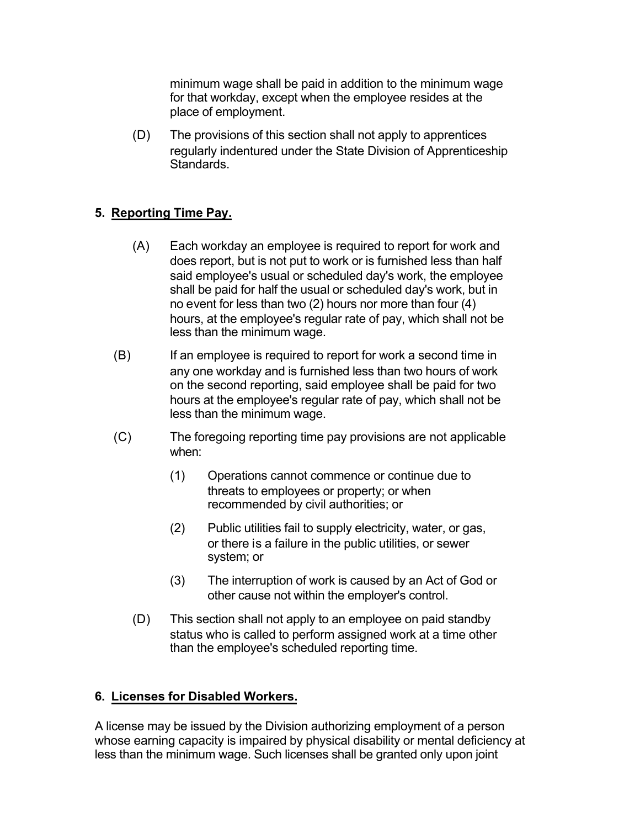minimum wage shall be paid in addition to the minimum wage for that workday, except when the employee resides at the place of employment.

(D) The provisions of this section shall not apply to apprentices regularly indentured under the State Division of Apprenticeship Standards.

## **5. Reporting Time Pay.**

- (A) Each workday an employee is required to report for work and does report, but is not put to work or is furnished less than half said employee's usual or scheduled day's work, the employee shall be paid for half the usual or scheduled day's work, but in no event for less than two (2) hours nor more than four (4) hours, at the employee's regular rate of pay, which shall not be less than the minimum wage.
- $(B)$ If an employee is required to report for work a second time in any one workday and is furnished less than two hours of work on the second reporting, said employee shall be paid for two hours at the employee's regular rate of pay, which shall not be less than the minimum wage.
- $(C)$ The foregoing reporting time pay provisions are not applicable when:
	- (1) Operations cannot commence or continue due to threats to employees or property; or when recommended by civil authorities; or
	- (2) Public utilities fail to supply electricity, water, or gas, or there is a failure in the public utilities, or sewer system; or
	- (3) The interruption of work is caused by an Act of God or other cause not within the employer's control.
	- $(D)$ This section shall not apply to an employee on paid standby status who is called to perform assigned work at a time other than the employee's scheduled reporting time.

### **6. Licenses for Disabled Workers.**

A license may be issued by the Division authorizing employment of a person whose earning capacity is impaired by physical disability or mental deficiency at less than the minimum wage. Such licenses shall be granted only upon joint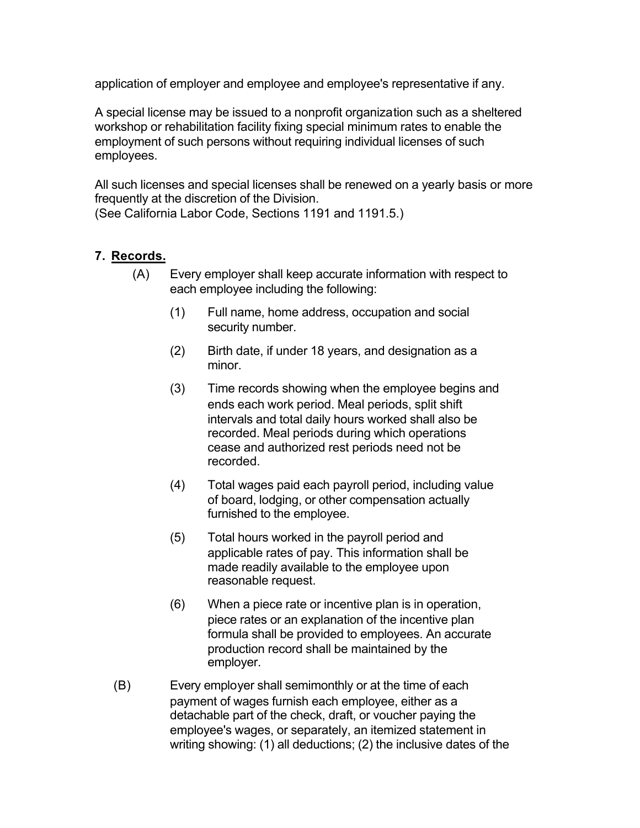application of employer and employee and employee's representative if any.

A special license may be issued to a nonprofit organization such as a sheltered workshop or rehabilitation facility fixing special minimum rates to enable the employment of such persons without requiring individual licenses of such employees.

All such licenses and special licenses shall be renewed on a yearly basis or more frequently at the discretion of the Division.

(See California Labor Code, Sections 1191 and 1191.5.)

### **7. Records.**

- (A) Every employer shall keep accurate information with respect to each employee including the following:
	- (1) Full name, home address, occupation and social security number.
	- (2) Birth date, if under 18 years, and designation as a minor.
	- (3) Time records showing when the employee begins and ends each work period. Meal periods, split shift intervals and total daily hours worked shall also be recorded. Meal periods during which operations cease and authorized rest periods need not be recorded.
	- (4) Total wages paid each payroll period, including value of board, lodging, or other compensation actually furnished to the employee.
	- (5) Total hours worked in the payroll period and applicable rates of pay. This information shall be made readily available to the employee upon reasonable request.
	- (6) When a piece rate or incentive plan is in operation, piece rates or an explanation of the incentive plan formula shall be provided to employees. An accurate production record shall be maintained by the employer.
- $(B)$ Every employer shall semimonthly or at the time of each payment of wages furnish each employee, either as a detachable part of the check, draft, or voucher paying the employee's wages, or separately, an itemized statement in writing showing: (1) all deductions; (2) the inclusive dates of the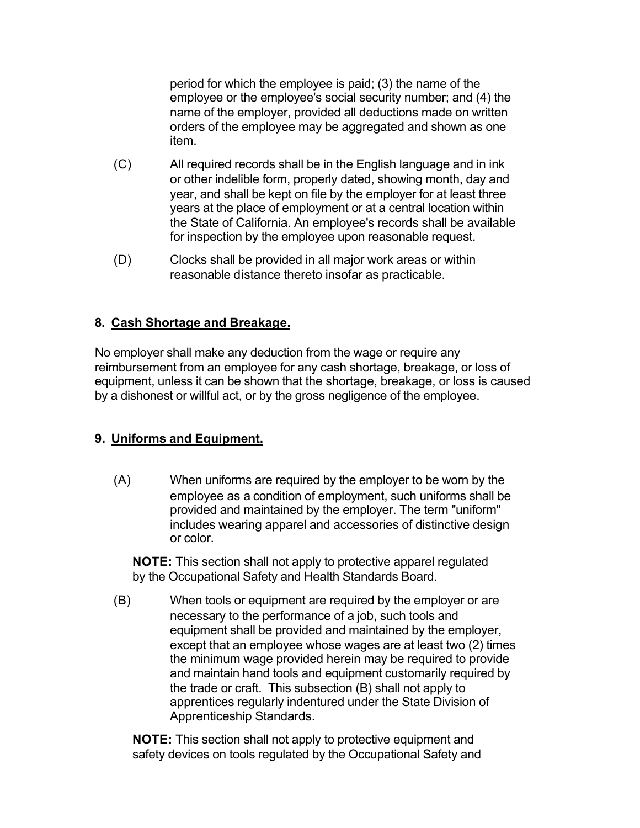period for which the employee is paid; (3) the name of the employee or the employee's social security number; and (4) the name of the employer, provided all deductions made on written orders of the employee may be aggregated and shown as one item.

- $(C)$ All required records shall be in the English language and in ink or other indelible form, properly dated, showing month, day and year, and shall be kept on file by the employer for at least three years at the place of employment or at a central location within the State of California. An employee's records shall be available for inspection by the employee upon reasonable request.
- $(D)$ Clocks shall be provided in all major work areas or within reasonable distance thereto insofar as practicable.

### **8. Cash Shortage and Breakage.**

No employer shall make any deduction from the wage or require any reimbursement from an employee for any cash shortage, breakage, or loss of equipment, unless it can be shown that the shortage, breakage, or loss is caused by a dishonest or willful act, or by the gross negligence of the employee.

### **9. Uniforms and Equipment.**

 $(A)$ When uniforms are required by the employer to be worn by the employee as a condition of employment, such uniforms shall be provided and maintained by the employer. The term "uniform" includes wearing apparel and accessories of distinctive design or color.

**NOTE:** This section shall not apply to protective apparel regulated by the Occupational Safety and Health Standards Board.

 $(B)$ When tools or equipment are required by the employer or are necessary to the performance of a job, such tools and equipment shall be provided and maintained by the employer, except that an employee whose wages are at least two (2) times the minimum wage provided herein may be required to provide and maintain hand tools and equipment customarily required by the trade or craft. This subsection (B) shall not apply to apprentices regularly indentured under the State Division of Apprenticeship Standards.

**NOTE:** This section shall not apply to protective equipment and safety devices on tools regulated by the Occupational Safety and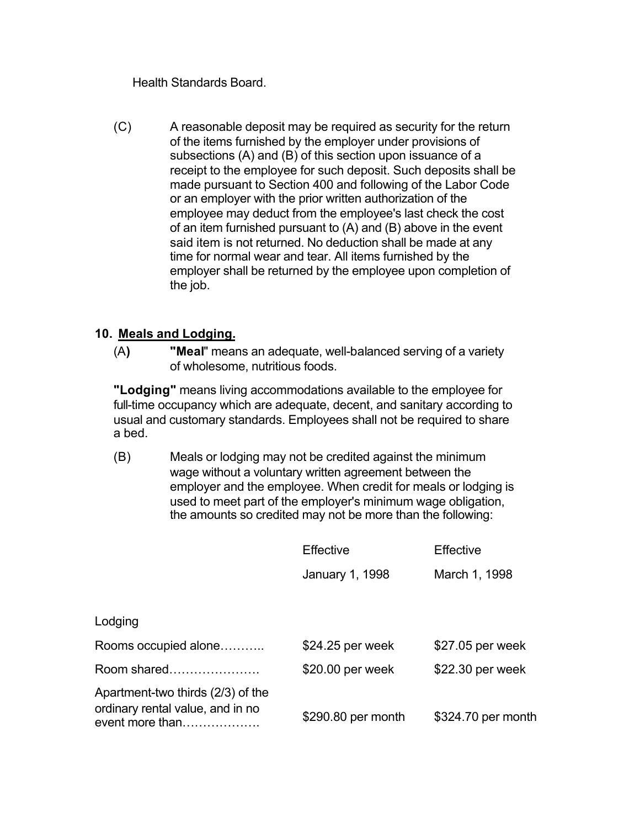Health Standards Board.

 $(C)$ A reasonable deposit may be required as security for the return of the items furnished by the employer under provisions of subsections (A) and (B) of this section upon issuance of a receipt to the employee for such deposit. Such deposits shall be made pursuant to Section 400 and following of the Labor Code or an employer with the prior written authorization of the employee may deduct from the employee's last check the cost of an item furnished pursuant to (A) and (B) above in the event said item is not returned. No deduction shall be made at any time for normal wear and tear. All items furnished by the employer shall be returned by the employee upon completion of the job.

### **10. Meals and Lodging.**

 "Meal" means an adequate, well-balanced serving of a variety of wholesome, nutritious foods.

**"Lodging"** means living accommodations available to the employee for full-time occupancy which are adequate, decent, and sanitary according to usual and customary standards. Employees shall not be required to share a bed.

 $(B)$ Meals or lodging may not be credited against the minimum wage without a voluntary written agreement between the employer and the employee. When credit for meals or lodging is used to meet part of the employer's minimum wage obligation, the amounts so credited may not be more than the following:

|                                                                                          | Effective          | Effective          |
|------------------------------------------------------------------------------------------|--------------------|--------------------|
|                                                                                          | January 1, 1998    | March 1, 1998      |
| Lodging                                                                                  |                    |                    |
| Rooms occupied alone                                                                     | \$24.25 per week   | \$27.05 per week   |
| Room shared                                                                              | \$20.00 per week   | \$22.30 per week   |
| Apartment-two thirds (2/3) of the<br>ordinary rental value, and in no<br>event more than | \$290.80 per month | \$324.70 per month |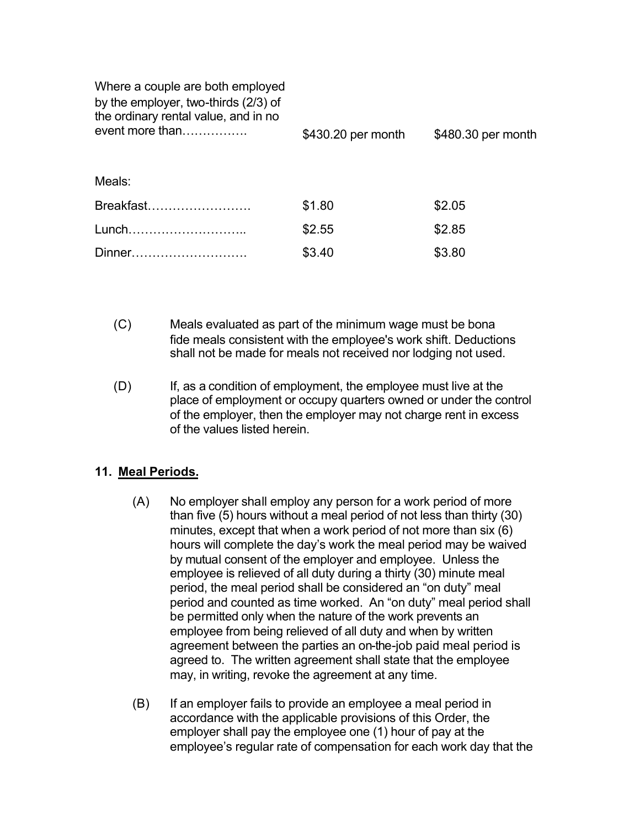| Where a couple are both employed<br>by the employer, two-thirds (2/3) of<br>the ordinary rental value, and in no<br>event more than | \$430.20 per month | \$480.30 per month |
|-------------------------------------------------------------------------------------------------------------------------------------|--------------------|--------------------|
| Meals:                                                                                                                              |                    |                    |
| Breakfast                                                                                                                           | \$1.80             | \$2.05             |
| Lunch                                                                                                                               | \$2.55             | \$2.85             |
| Dinner                                                                                                                              | \$3.40             | \$3.80             |

- $(C)$ Meals evaluated as part of the minimum wage must be bona fide meals consistent with the employee's work shift. Deductions shall not be made for meals not received nor lodging not used.
- $(D)$ If, as a condition of employment, the employee must live at the place of employment or occupy quarters owned or under the control of the employer, then the employer may not charge rent in excess of the values listed herein.

#### **11. Meal Periods.**

- (A) No employer shall employ any person for a work period of more than five (5) hours without a meal period of not less than thirty (30) minutes, except that when a work period of not more than six (6) hours will complete the day's work the meal period may be waived by mutual consent of the employer and employee. Unless the employee is relieved of all duty during a thirty (30) minute meal period, the meal period shall be considered an "on duty" meal period and counted as time worked. An "on duty" meal period shall be permitted only when the nature of the work prevents an employee from being relieved of all duty and when by written agreement between the parties an on-the-job paid meal period is agreed to. The written agreement shall state that the employee may, in writing, revoke the agreement at any time.
- (B) If an employer fails to provide an employee a meal period in accordance with the applicable provisions of this Order, the employer shall pay the employee one (1) hour of pay at the employee's regular rate of compensation for each work day that the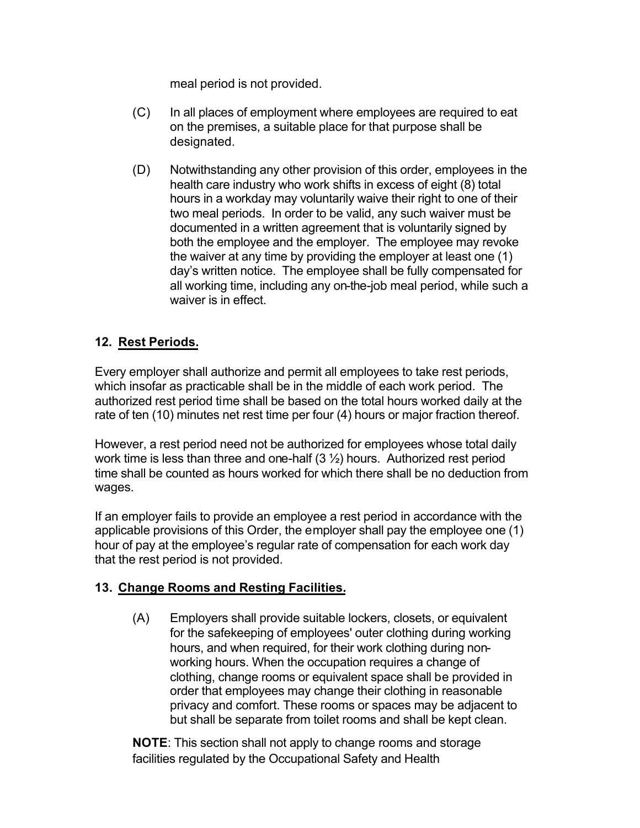meal period is not provided.

- (C) In all places of employment where employees are required to eat on the premises, a suitable place for that purpose shall be designated.
- (D) Notwithstanding any other provision of this order, employees in the health care industry who work shifts in excess of eight (8) total hours in a workday may voluntarily waive their right to one of their two meal periods. In order to be valid, any such waiver must be documented in a written agreement that is voluntarily signed by both the employee and the employer. The employee may revoke the waiver at any time by providing the employer at least one (1) day's written notice. The employee shall be fully compensated for all working time, including any on-the-job meal period, while such a waiver is in effect.

### **12. Rest Periods.**

Every employer shall authorize and permit all employees to take rest periods, which insofar as practicable shall be in the middle of each work period. The authorized rest period time shall be based on the total hours worked daily at the rate of ten (10) minutes net rest time per four (4) hours or major fraction thereof.

However, a rest period need not be authorized for employees whose total daily work time is less than three and one-half  $(3 \frac{1}{2})$  hours. Authorized rest period time shall be counted as hours worked for which there shall be no deduction from wages.

If an employer fails to provide an employee a rest period in accordance with the applicable provisions of this Order, the employer shall pay the employee one (1) hour of pay at the employee's regular rate of compensation for each work day that the rest period is not provided.

#### **13. Change Rooms and Resting Facilities.**

(A) Employers shall provide suitable lockers, closets, or equivalent for the safekeeping of employees' outer clothing during working hours, and when required, for their work clothing during nonworking hours. When the occupation requires a change of clothing, change rooms or equivalent space shall be provided in order that employees may change their clothing in reasonable privacy and comfort. These rooms or spaces may be adjacent to but shall be separate from toilet rooms and shall be kept clean.

**NOTE**: This section shall not apply to change rooms and storage facilities regulated by the Occupational Safety and Health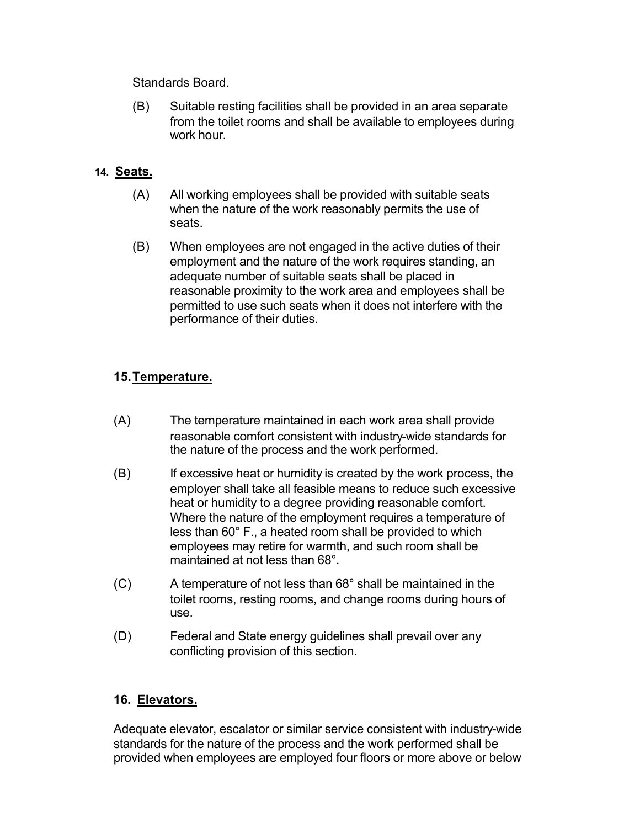Standards Board.

 work hour. (B) Suitable resting facilities shall be provided in an area separate from the toilet rooms and shall be available to employees during

### **14. Seats.**

- (A) All working employees shall be provided with suitable seats when the nature of the work reasonably permits the use of seats.
- (B) When employees are not engaged in the active duties of their employment and the nature of the work requires standing, an adequate number of suitable seats shall be placed in reasonable proximity to the work area and employees shall be permitted to use such seats when it does not interfere with the performance of their duties.

## **15.Temperature.**

- $(A)$ The temperature maintained in each work area shall provide reasonable comfort consistent with industry-wide standards for the nature of the process and the work performed.
- $(B)$ If excessive heat or humidity is created by the work process, the employer shall take all feasible means to reduce such excessive heat or humidity to a degree providing reasonable comfort. Where the nature of the employment requires a temperature of less than 60° F., a heated room shall be provided to which employees may retire for warmth, and such room shall be maintained at not less than 68°.
- $(C)$ A temperature of not less than  $68^\circ$  shall be maintained in the toilet rooms, resting rooms, and change rooms during hours of use.
- $(D)$ Federal and State energy guidelines shall prevail over any conflicting provision of this section.

### **16. Elevators.**

Adequate elevator, escalator or similar service consistent with industry-wide standards for the nature of the process and the work performed shall be provided when employees are employed four floors or more above or below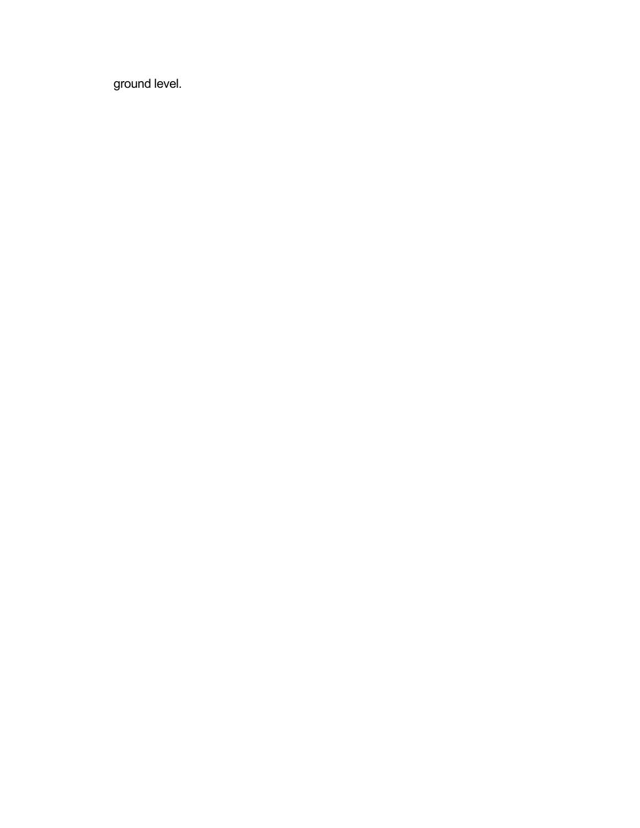ground level.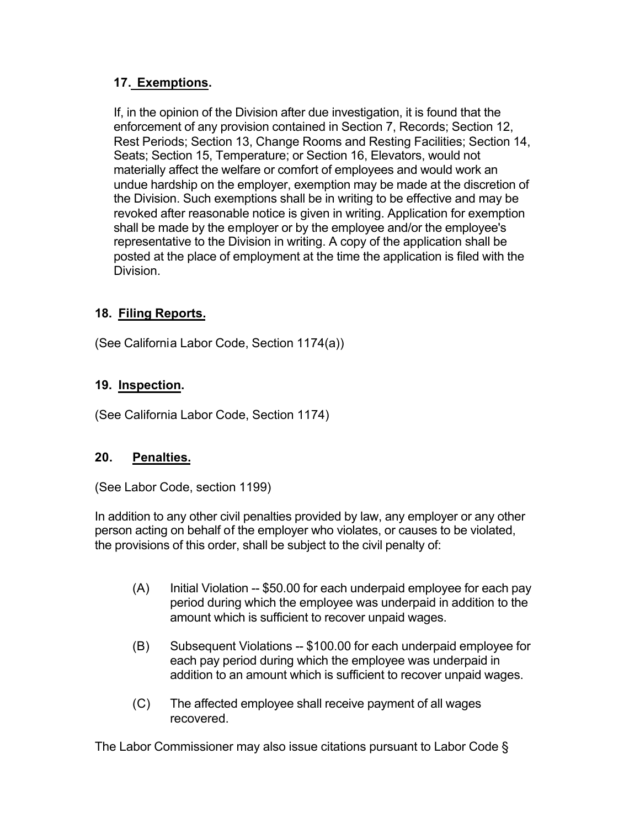## **17. Exemptions.**

If, in the opinion of the Division after due investigation, it is found that the enforcement of any provision contained in Section 7, Records; Section 12, Rest Periods; Section 13, Change Rooms and Resting Facilities; Section 14, Seats; Section 15, Temperature; or Section 16, Elevators, would not materially affect the welfare or comfort of employees and would work an undue hardship on the employer, exemption may be made at the discretion of the Division. Such exemptions shall be in writing to be effective and may be revoked after reasonable notice is given in writing. Application for exemption shall be made by the employer or by the employee and/or the employee's representative to the Division in writing. A copy of the application shall be posted at the place of employment at the time the application is filed with the Division.

## **18. Filing Reports.**

(See California Labor Code, Section 1174(a))

## **19. Inspection.**

(See California Labor Code, Section 1174)

## **20. Penalties.**

(See Labor Code, section 1199)

In addition to any other civil penalties provided by law, any employer or any other person acting on behalf of the employer who violates, or causes to be violated, the provisions of this order, shall be subject to the civil penalty of:

- (A) Initial Violation -- \$50.00 for each underpaid employee for each pay period during which the employee was underpaid in addition to the amount which is sufficient to recover unpaid wages.
- (B) Subsequent Violations -- \$100.00 for each underpaid employee for each pay period during which the employee was underpaid in addition to an amount which is sufficient to recover unpaid wages.
- (C) The affected employee shall receive payment of all wages recovered.

The Labor Commissioner may also issue citations pursuant to Labor Code §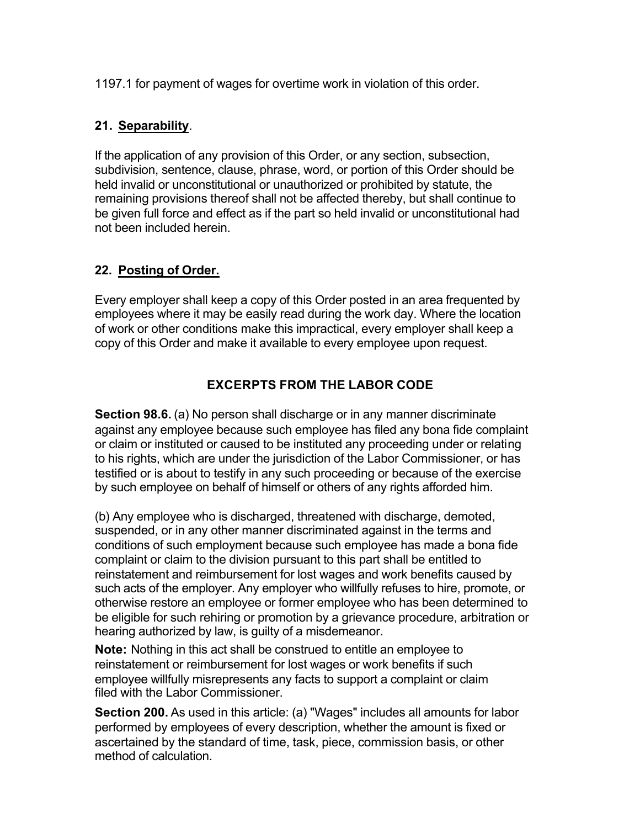1197.1 for payment of wages for overtime work in violation of this order.

## **21. Separability**.

If the application of any provision of this Order, or any section, subsection, subdivision, sentence, clause, phrase, word, or portion of this Order should be held invalid or unconstitutional or unauthorized or prohibited by statute, the remaining provisions thereof shall not be affected thereby, but shall continue to be given full force and effect as if the part so held invalid or unconstitutional had not been included herein.

## **22. Posting of Order.**

Every employer shall keep a copy of this Order posted in an area frequented by employees where it may be easily read during the work day. Where the location of work or other conditions make this impractical, every employer shall keep a copy of this Order and make it available to every employee upon request.

# **EXCERPTS FROM THE LABOR CODE**

**Section 98.6.** (a) No person shall discharge or in any manner discriminate against any employee because such employee has filed any bona fide complaint or claim or instituted or caused to be instituted any proceeding under or relating to his rights, which are under the jurisdiction of the Labor Commissioner, or has testified or is about to testify in any such proceeding or because of the exercise by such employee on behalf of himself or others of any rights afforded him.

(b) Any employee who is discharged, threatened with discharge, demoted, suspended, or in any other manner discriminated against in the terms and conditions of such employment because such employee has made a bona fide complaint or claim to the division pursuant to this part shall be entitled to reinstatement and reimbursement for lost wages and work benefits caused by such acts of the employer. Any employer who willfully refuses to hire, promote, or otherwise restore an employee or former employee who has been determined to be eligible for such rehiring or promotion by a grievance procedure, arbitration or hearing authorized by law, is guilty of a misdemeanor.

**Note:** Nothing in this act shall be construed to entitle an employee to reinstatement or reimbursement for lost wages or work benefits if such employee willfully misrepresents any facts to support a complaint or claim filed with the Labor Commissioner.

**Section 200.** As used in this article: (a) "Wages" includes all amounts for labor performed by employees of every description, whether the amount is fixed or ascertained by the standard of time, task, piece, commission basis, or other method of calculation.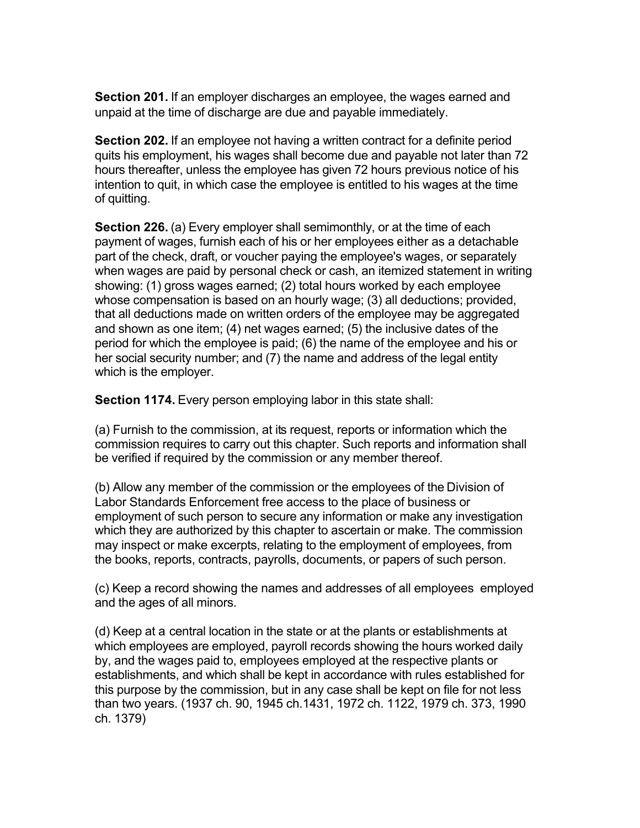**Section 201.** If an employer discharges an employee, the wages earned and unpaid at the time of discharge are due and payable immediately.

**Section 202.** If an employee not having a written contract for a definite period quits his employment, his wages shall become due and payable not later than 72 hours thereafter, unless the employee has given 72 hours previous notice of his intention to quit, in which case the employee is entitled to his wages at the time of quitting.

**Section 226.** (a) Every employer shall semimonthly, or at the time of each payment of wages, furnish each of his or her employees either as a detachable part of the check, draft, or voucher paying the employee's wages, or separately when wages are paid by personal check or cash, an itemized statement in writing showing: (1) gross wages earned; (2) total hours worked by each employee whose compensation is based on an hourly wage; (3) all deductions; provided, that all deductions made on written orders of the employee may be aggregated and shown as one item; (4) net wages earned; (5) the inclusive dates of the period for which the employee is paid; (6) the name of the employee and his or her social security number; and (7) the name and address of the legal entity which is the employer.

**Section 1174.** Every person employing labor in this state shall:

(a) Furnish to the commission, at its request, reports or information which the commission requires to carry out this chapter. Such reports and information shall be verified if required by the commission or any member thereof.

(b) Allow any member of the commission or the employees of the Division of Labor Standards Enforcement free access to the place of business or employment of such person to secure any information or make any investigation which they are authorized by this chapter to ascertain or make. The commission may inspect or make excerpts, relating to the employment of employees, from the books, reports, contracts, payrolls, documents, or papers of such person.

(c) Keep a record showing the names and addresses of all employees employed and the ages of all minors.

(d) Keep at a central location in the state or at the plants or establishments at which employees are employed, payroll records showing the hours worked daily by, and the wages paid to, employees employed at the respective plants or establishments, and which shall be kept in accordance with rules established for this purpose by the commission, but in any case shall be kept on file for not less than two years. (1937 ch. 90, 1945 ch.1431, 1972 ch. 1122, 1979 ch. 373, 1990 ch. 1379)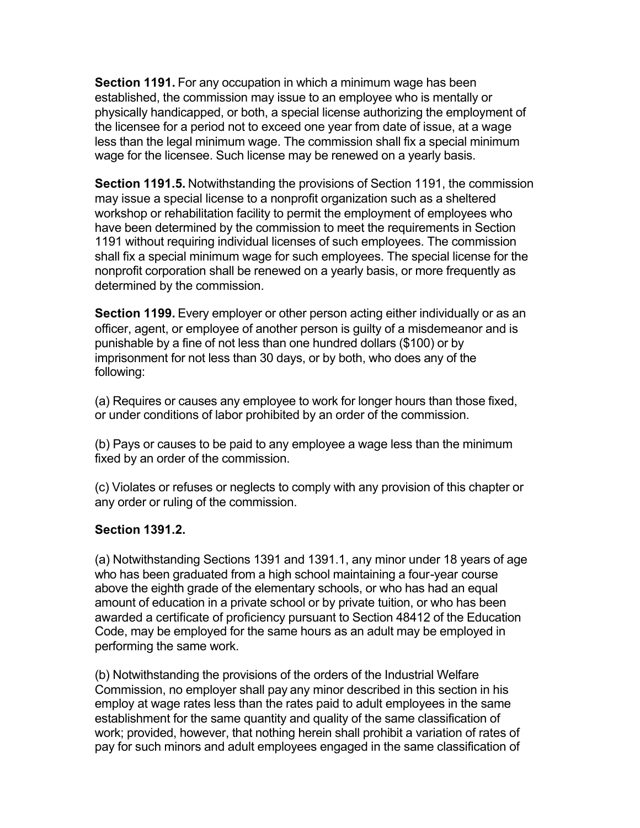**Section 1191.** For any occupation in which a minimum wage has been established, the commission may issue to an employee who is mentally or physically handicapped, or both, a special license authorizing the employment of the licensee for a period not to exceed one year from date of issue, at a wage less than the legal minimum wage. The commission shall fix a special minimum wage for the licensee. Such license may be renewed on a yearly basis.

**Section 1191.5.** Notwithstanding the provisions of Section 1191, the commission may issue a special license to a nonprofit organization such as a sheltered workshop or rehabilitation facility to permit the employment of employees who have been determined by the commission to meet the requirements in Section 1191 without requiring individual licenses of such employees. The commission shall fix a special minimum wage for such employees. The special license for the nonprofit corporation shall be renewed on a yearly basis, or more frequently as determined by the commission.

**Section 1199.** Every employer or other person acting either individually or as an officer, agent, or employee of another person is guilty of a misdemeanor and is punishable by a fine of not less than one hundred dollars (\$100) or by imprisonment for not less than 30 days, or by both, who does any of the following:

(a) Requires or causes any employee to work for longer hours than those fixed, or under conditions of labor prohibited by an order of the commission.

(b) Pays or causes to be paid to any employee a wage less than the minimum fixed by an order of the commission.

(c) Violates or refuses or neglects to comply with any provision of this chapter or any order or ruling of the commission.

#### **Section 1391.2.**

(a) Notwithstanding Sections 1391 and 1391.1, any minor under 18 years of age who has been graduated from a high school maintaining a four-year course above the eighth grade of the elementary schools, or who has had an equal amount of education in a private school or by private tuition, or who has been awarded a certificate of proficiency pursuant to Section 48412 of the Education Code, may be employed for the same hours as an adult may be employed in performing the same work.

(b) Notwithstanding the provisions of the orders of the Industrial Welfare Commission, no employer shall pay any minor described in this section in his employ at wage rates less than the rates paid to adult employees in the same establishment for the same quantity and quality of the same classification of work; provided, however, that nothing herein shall prohibit a variation of rates of pay for such minors and adult employees engaged in the same classification of